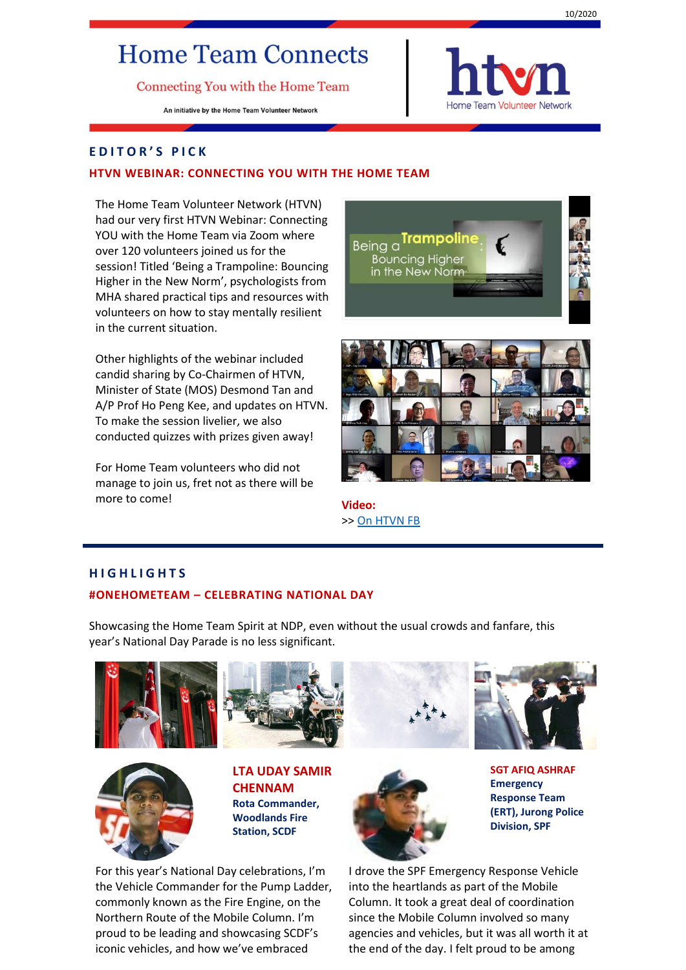# **Home Team Connects**

Connecting You with the Home Team

An initiative by the Home Team Volunteer Network



#### **E D I T O R ' S P I C K**

#### **HTVN WEBINAR: CONNECTING YOU WITH THE HOME TEAM**

The Home Team Volunteer Network (HTVN) had our very first HTVN Webinar: Connecting YOU with the Home Team via Zoom where over 120 volunteers joined us for the session! Titled 'Being a Trampoline: Bouncing Higher in the New Norm', psychologists from MHA shared practical tips and resources with volunteers on how to stay mentally resilient in the current situation.

Other highlights of the webinar included candid sharing by Co-Chairmen of HTVN, Minister of State (MOS) Desmond Tan and A/P Prof Ho Peng Kee, and updates on HTVN. To make the session livelier, we also conducted quizzes with prizes given away!

For Home Team volunteers who did not manage to join us, fret not as there will be more to come! **Video:** 





>> [On HTVN FB](https://www.facebook.com/htvolunteers/videos/683370399204741/?vh=e&extid=Bhuij1TL0tN7DCs0)

#### **H I G H L I G H T S**

#### **#ONEHOMETEAM – CELEBRATING NATIONAL DAY**

Showcasing the Home Team Spirit at NDP, even without the usual crowds and fanfare, this year's National Day Parade is no less significant.





**LTA UDAY SAMIR CHENNAM Rota Commander, Woodlands Fire Station, SCDF**

For this year's National Day celebrations, I'm the Vehicle Commander for the Pump Ladder, commonly known as the Fire Engine, on the Northern Route of the Mobile Column. I'm proud to be leading and showcasing SCDF's iconic vehicles, and how we've embraced



**SGT AFIQ ASHRAF Emergency Response Team (ERT), Jurong Police** 

**Division, SPF**

I drove the SPF Emergency Response Vehicle into the heartlands as part of the Mobile Column. It took a great deal of coordination since the Mobile Column involved so many agencies and vehicles, but it was all worth it at the end of the day. I felt proud to be among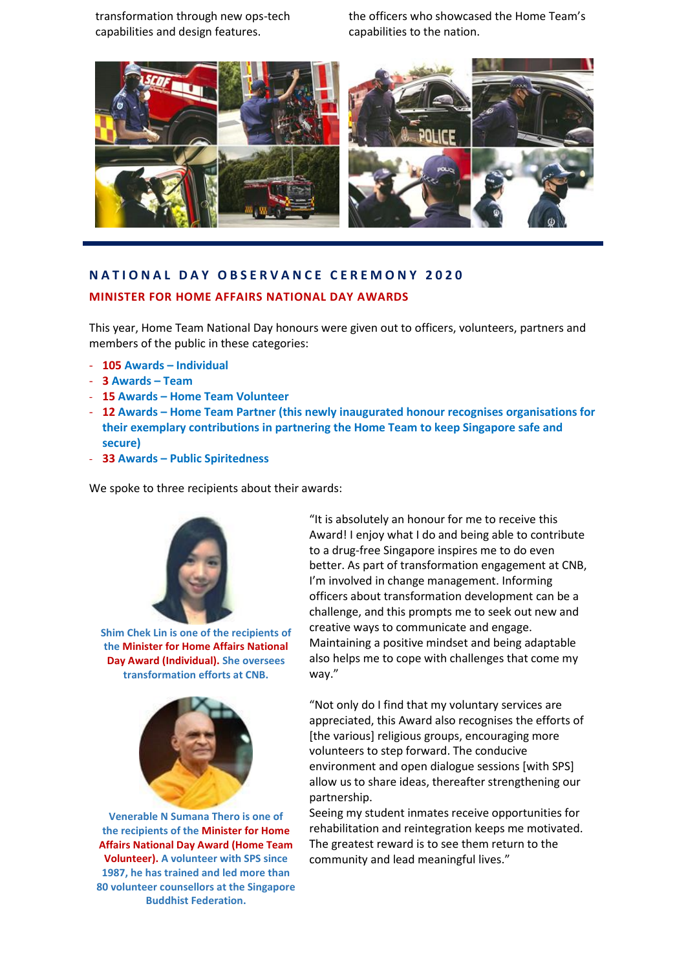transformation through new ops-tech capabilities and design features.

the officers who showcased the Home Team's capabilities to the nation.



## **N A T I O N A L D A Y O B S E R V A N C E C E R E M O N Y 2 0 2 0**

#### **MINISTER FOR HOME AFFAIRS NATIONAL DAY AWARDS**

This year, Home Team National Day honours were given out to officers, volunteers, partners and members of the public in these categories:

- **105 Awards – Individual**
- **3 Awards – Team**
- **15 Awards – Home Team Volunteer**
- **12 Awards – Home Team Partner (this newly inaugurated honour recognises organisations for their exemplary contributions in partnering the Home Team to keep Singapore safe and secure)**
- **33 Awards – Public Spiritedness**

We spoke to three recipients about their awards:



**Shim Chek Lin is one of the recipients of the Minister for Home Affairs National Day Award (Individual). She oversees transformation efforts at CNB.**



**Venerable N Sumana Thero is one of the recipients of the Minister for Home Affairs National Day Award (Home Team Volunteer). A volunteer with SPS since 1987, he has trained and led more than 80 volunteer counsellors at the Singapore Buddhist Federation.**

"It is absolutely an honour for me to receive this Award! I enjoy what I do and being able to contribute to a drug-free Singapore inspires me to do even better. As part of transformation engagement at CNB, I'm involved in change management. Informing officers about transformation development can be a challenge, and this prompts me to seek out new and creative ways to communicate and engage. Maintaining a positive mindset and being adaptable also helps me to cope with challenges that come my way."

"Not only do I find that my voluntary services are appreciated, this Award also recognises the efforts of [the various] religious groups, encouraging more volunteers to step forward. The conducive environment and open dialogue sessions [with SPS] allow us to share ideas, thereafter strengthening our partnership.

Seeing my student inmates receive opportunities for rehabilitation and reintegration keeps me motivated. The greatest reward is to see them return to the community and lead meaningful lives."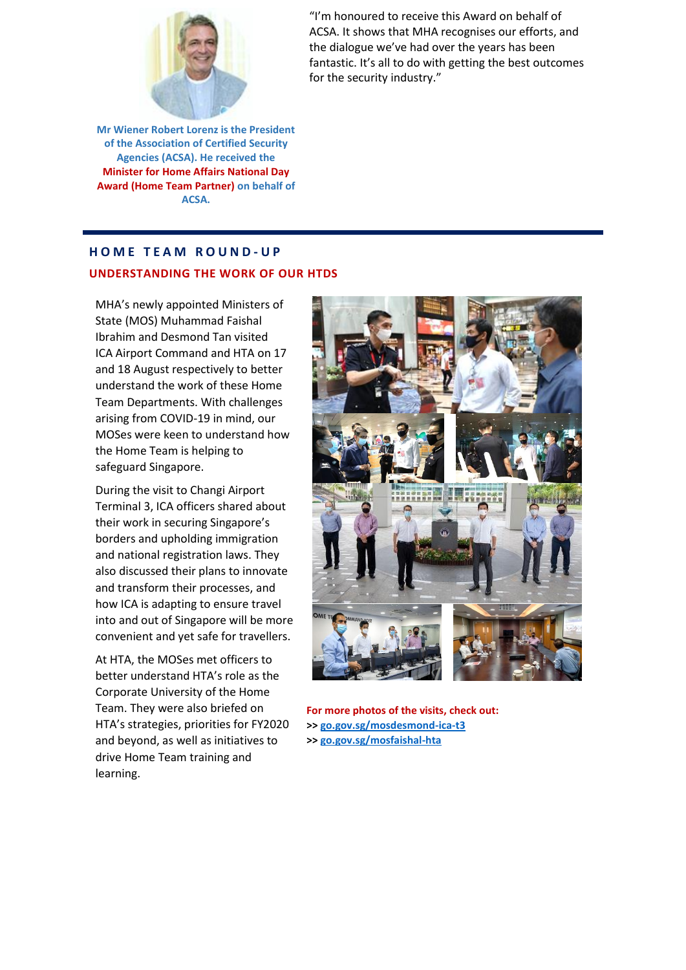

**Mr Wiener Robert Lorenz is the President of the Association of Certified Security Agencies (ACSA). He received the Minister for Home Affairs National Day Award (Home Team Partner) on behalf of ACSA.** 

"I'm honoured to receive this Award on behalf of ACSA. It shows that MHA recognises our efforts, and the dialogue we've had over the years has been fantastic. It's all to do with getting the best outcomes for the security industry."

## **H O M E T E A M R O U N D - U P UNDERSTANDING THE WORK OF OUR HTDS**

MHA's newly appointed Ministers of State (MOS) Muhammad Faishal Ibrahim and Desmond Tan visited ICA Airport Command and HTA on 17 and 18 August respectively to better understand the work of these Home Team Departments. With challenges arising from COVID-19 in mind, our MOSes were keen to understand how the Home Team is helping to safeguard Singapore.

During the visit to Changi Airport Terminal 3, ICA officers shared about their work in securing Singapore's borders and upholding immigration and national registration laws. They also discussed their plans to innovate and transform their processes, and how ICA is adapting to ensure travel into and out of Singapore will be more convenient and yet safe for travellers.

At HTA, the MOSes met officers to better understand HTA's role as the Corporate University of the Home Team. They were also briefed on HTA's strategies, priorities for FY2020 and beyond, as well as initiatives to drive Home Team training and learning.



**For more photos of the visits, check out: >> [go.gov.sg/mosdesmond-ica-t3](https://m.facebook.com/desmondtkm/posts/141046284326114) >> [go.gov.sg/mosfaishal-hta](https://m.facebook.com/muhammad.faishal.ibrahim1/posts/1614086258751160)**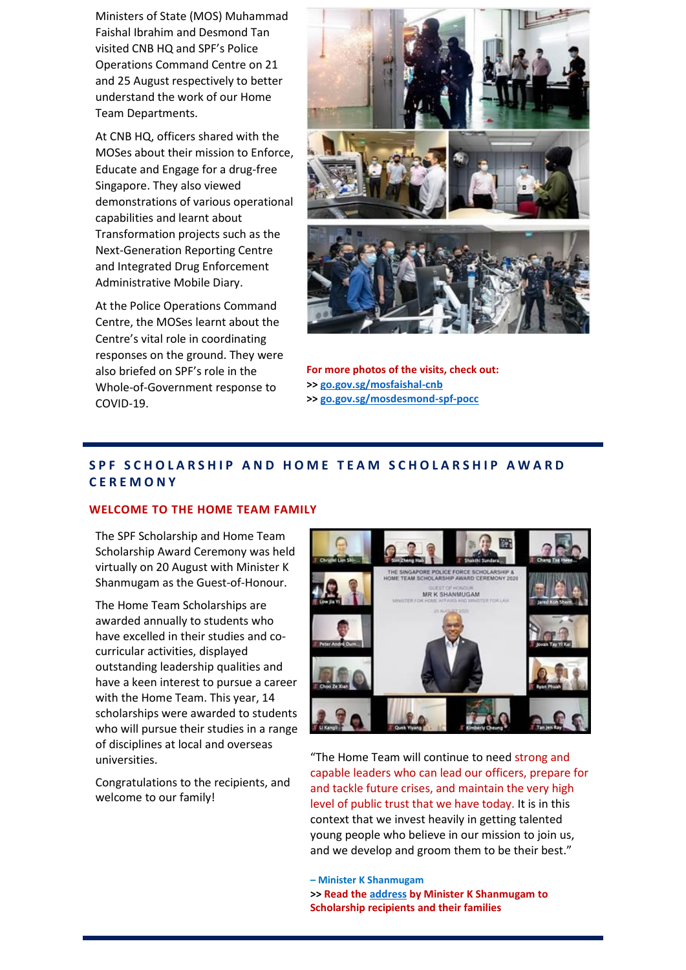Ministers of State (MOS) Muhammad Faishal Ibrahim and Desmond Tan visited CNB HQ and SPF's Police Operations Command Centre on 21 and 25 August respectively to better understand the work of our Home Team Departments.

At CNB HQ, officers shared with the MOSes about their mission to Enforce, Educate and Engage for a drug-free Singapore. They also viewed demonstrations of various operational capabilities and learnt about Transformation projects such as the Next-Generation Reporting Centre and Integrated Drug Enforcement Administrative Mobile Diary.

At the Police Operations Command Centre, the MOSes learnt about the Centre's vital role in coordinating responses on the ground. They were also briefed on SPF's role in the Whole-of-Government response to COVID-19.



**For more photos of the visits, check out: >> [go.gov.sg/mosfaishal-cnb](https://m.facebook.com/muhammad.faishal.ibrahim1/posts/1616325421860577) >> [go.gov.sg/mosdesmond-spf-pocc](https://m.facebook.com/desmondtkm/posts/144137360683673)**

## **S P F S C H O L A R S H I P A N D H O M E T E A M S C H O L A R S H I P A W A R D C E R E M O N Y**

#### **WELCOME TO THE HOME TEAM FAMILY**

The SPF Scholarship and Home Team Scholarship Award Ceremony was held virtually on 20 August with Minister K Shanmugam as the Guest-of-Honour.

The Home Team Scholarships are awarded annually to students who have excelled in their studies and cocurricular activities, displayed outstanding leadership qualities and have a keen interest to pursue a career with the Home Team. This year, 14 scholarships were awarded to students who will pursue their studies in a range of disciplines at local and overseas universities.

Congratulations to the recipients, and welcome to our family!



"The Home Team will continue to need strong and capable leaders who can lead our officers, prepare for and tackle future crises, and maintain the very high level of public trust that we have today. It is in this context that we invest heavily in getting talented young people who believe in our mission to join us, and we develop and groom them to be their best."

**– Minister K Shanmugam >> Read the [address](https://www.mha.gov.sg/newsroom/speeches/news/singapore-police-force-scholarship-and-home-team-scholarship-award-ceremony-2020-speech-by-mr-k-shanmugam-minister-for-home-affairs-and-minister-for-law) by Minister K Shanmugam to Scholarship recipients and their families**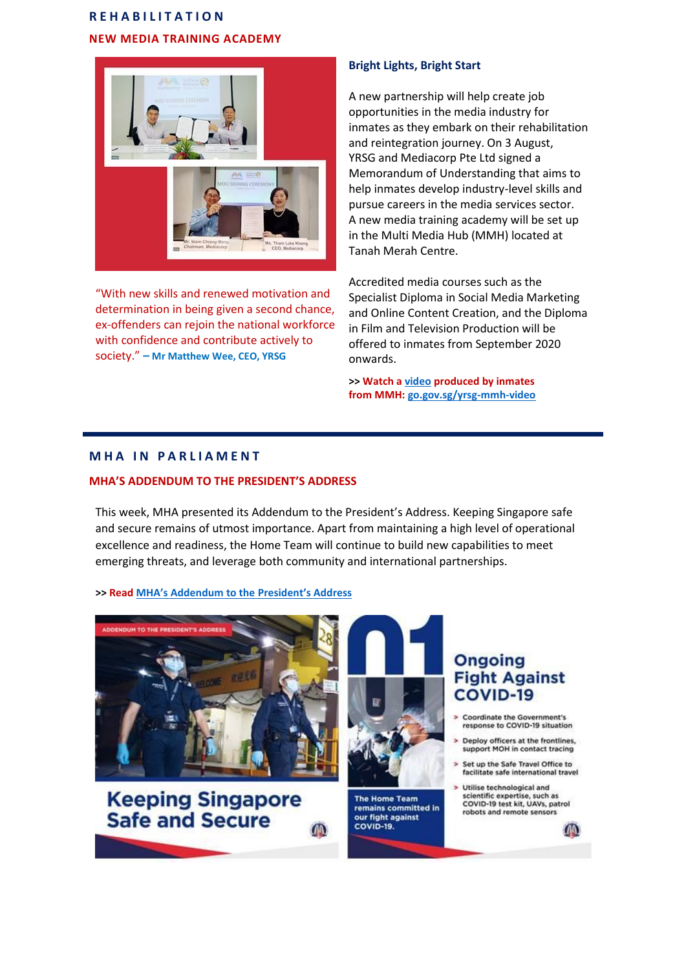# **R E H A B I L I T A T I O N NEW MEDIA TRAINING ACADEMY**



"With new skills and renewed motivation and determination in being given a second chance, ex-offenders can rejoin the national workforce with confidence and contribute actively to society." **– Mr Matthew Wee, CEO, YRSG**

#### **Bright Lights, Bright Start**

A new partnership will help create job opportunities in the media industry for inmates as they embark on their rehabilitation and reintegration journey. On 3 August, YRSG and Mediacorp Pte Ltd signed a Memorandum of Understanding that aims to help inmates develop industry-level skills and pursue careers in the media services sector. A new media training academy will be set up in the Multi Media Hub (MMH) located at Tanah Merah Centre.

Accredited media courses such as the Specialist Diploma in Social Media Marketing and Online Content Creation, and the Diploma in Film and Television Production will be offered to inmates from September 2020 onwards.

**>> Watch [a video](https://m.youtube.com/watch?v=HKGOKqbZJfE#dialog) produced by inmates from MMH: [go.gov.sg/yrsg-mmh-video](https://m.youtube.com/watch?v=HKGOKqbZJfE#dialog)**

### **M H A I N P A R L I A M E N T**

#### **MHA'S ADDENDUM TO THE PRESIDENT'S ADDRESS**

This week, MHA presented its Addendum to the President's Address. Keeping Singapore safe and secure remains of utmost importance. Apart from maintaining a high level of operational excellence and readiness, the Home Team will continue to build new capabilities to meet emerging threats, and leverage both community and international partnerships.

#### **>> Read [MHA's Addendum to the President's Address](https://www.mha.gov.sg/newsroom/in-parliament/parliamentary-speeches/news/addendum-to-the-president-address-2020)**







The Home Team remains committed in our fight against **COVID-19.** 

# **Ongoing Fight Against COVID-19**

- **Coordinate the Government's** response to COVID-19 situation
- Deploy officers at the frontlines, support MOH in contact tracing
- Set up the Safe Travel Office to facilitate safe international travel

Utilise technological and scientific expertise, such as COVID-19 test kit, UAVs, patrol robots and remote sensors

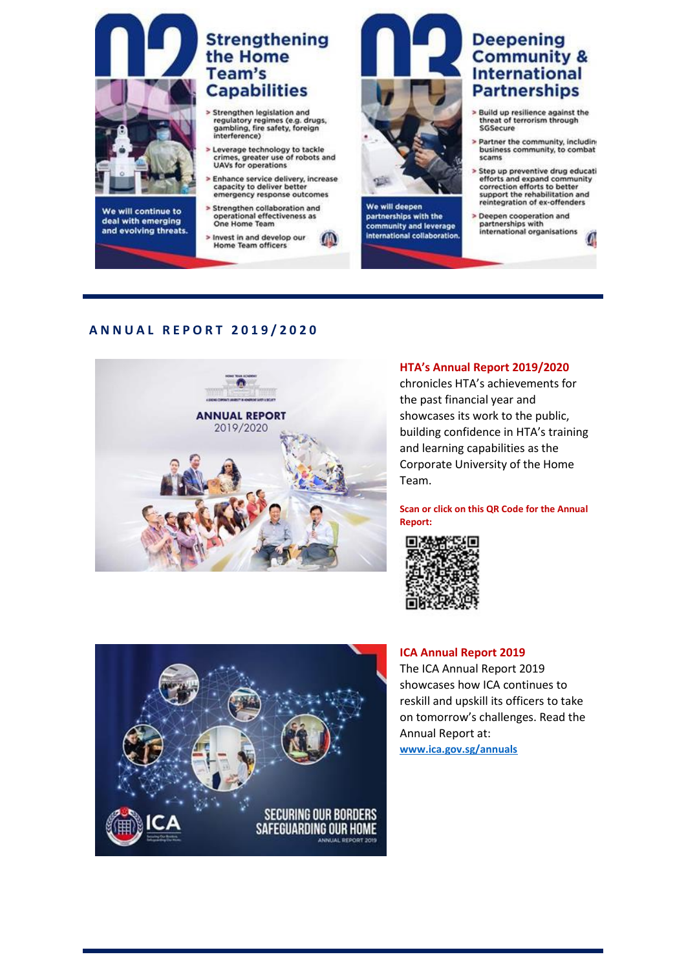

We will continue to deal with emerging and evolving threats.

# **Strengthening** the Home Team's **Capabilities**

- Strengthen legislation and regulatory regimes (e.g. drugs,<br>gambling, fire safety, foreign interference)
- Leverage technology to tackle<br>crimes, greater use of robots and<br>UAVs for operations
- > Enhance service delivery, increase capacity to deliver bett emergency response outcomes
- > Strengthen collaboration and operational effectiveness as<br>One Home Team

> Invest in and develop our<br>Home Team officers



We will deepen partnerships with the community and leverage international collaboration

# **Deepening Community & International Partnerships**

- Build up resilience against the<br>threat of terrorism through SGSecure
- Partner the community, including business community, to combat scams
- Step up preventive drug educati<br>efforts and expand community<br>correction efforts to better support the rehabilitation and reintegration of ex-offenders
- Deepen cooperation and partnerships with<br>international organisations

## **A N N U A L R E P O R T 2 0 1 9 / 2 0 2 0**

 $\overline{ }$ 



#### **HTA's Annual Report 2019/2020**

chronicles HTA's achievements for the past financial year and showcases its work to the public, building confidence in HTA's training and learning capabilities as the Corporate University of the Home Team.

**Scan or click on this QR Code for the Annual Report:**





#### **ICA Annual Report 2019**

The ICA Annual Report 2019 showcases how ICA continues to reskill and upskill its officers to take on tomorrow's challenges. Read the Annual Report at: **[www.ica.gov.sg/annuals](http://www.ica.gov.sg/annuals)**